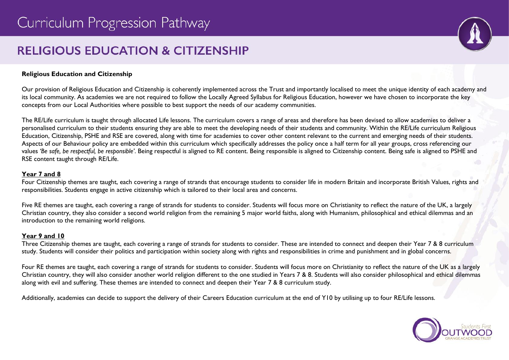# **RELIGIOUS EDUCATION & CITIZENSHIP**



#### **Religious Education and Citizenship**

Our provision of Religious Education and Citizenship is coherently implemented across the Trust and importantly localised to meet the unique identity of each academy and its local community. As academies we are not required to follow the Locally Agreed Syllabus for Religious Education, however we have chosen to incorporate the key concepts from our Local Authorities where possible to best support the needs of our academy communities.

The RE/Life curriculum is taught through allocated Life lessons. The curriculum covers a range of areas and therefore has been devised to allow academies to deliver a personalised curriculum to their students ensuring they are able to meet the developing needs of their students and community. Within the RE/Life curriculum Religious Education, Citizenship, PSHE and RSE are covered, along with time for academies to cover other content relevant to the current and emerging needs of their students. Aspects of our Behaviour policy are embedded within this curriculum which specifically addresses the policy once a half term for all year groups, cross referencing our values *'Be safe, be respectful, be responsible'*. Being respectful is aligned to RE content. Being responsible is aligned to Citizenship content. Being safe is aligned to PSHE and RSE content taught through RE/Life.

#### **Year 7 and 8**

Four Citizenship themes are taught, each covering a range of strands that encourage students to consider life in modern Britain and incorporate British Values, rights and responsibilities. Students engage in active citizenship which is tailored to their local area and concerns.

Five RE themes are taught, each covering a range of strands for students to consider. Students will focus more on Christianity to reflect the nature of the UK, a largely Christian country, they also consider a second world religion from the remaining 5 major world faiths, along with Humanism, philosophical and ethical dilemmas and an introduction to the remaining world religions.

#### **Year 9 and 10**

Three Citizenship themes are taught, each covering a range of strands for students to consider. These are intended to connect and deepen their Year 7 & 8 curriculum study. Students will consider their politics and participation within society along with rights and responsibilities in crime and punishment and in global concerns.

Four RE themes are taught, each covering a range of strands for students to consider. Students will focus more on Christianity to reflect the nature of the UK as a largely Christian country, they will also consider another world religion different to the one studied in Years 7 & 8. Students will also consider philosophical and ethical dilemmas along with evil and suffering. These themes are intended to connect and deepen their Year 7 & 8 curriculum study.

Additionally, academies can decide to support the delivery of their Careers Education curriculum at the end of Y10 by utilising up to four RE/Life lessons.

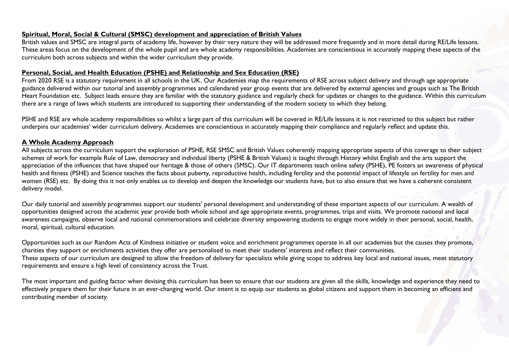#### **Spiritual, Moral, Social & Cultural (SMSC) development and appreciation of British Values**

British values and SMSC are integral parts of academy life, however by their very nature they will be addressed more frequently and in more detail during RE/Life lessons. These areas focus on the development of the whole pupil and are whole academy responsibilities. Academies are conscientious in accurately mapping these aspects of the curriculum both across subjects and within the wider curriculum they provide.

#### **Personal, Social, and Health Education (PSHE) and Relationship and Sex Education (RSE)**

From 2020 RSE is a statutory requirement in all schools in the UK. Our Academies map the requirements of RSE across subject delivery and through age appropriate guidance delivered within our tutorial and assembly programmes and calendared year group events that are delivered by external agencies and groups such as The British Heart Foundation etc. Subject leads ensure they are familiar with the statutory guidance and regularly check for updates or changes to the guidance. Within this curriculum there are a range of laws which students are introduced to supporting their understanding of the modern society to which they belong.

PSHE and RSE are whole academy responsibilities so whilst a large part of this curriculum will be covered in RE/Life lessons it is not restricted to this subject but rather underpins our academies' wider curriculum delivery. Academies are conscientious in accurately mapping their compliance and regularly reflect and update this.

#### **A Whole Academy Approach**

All subjects across the curriculum support the exploration of PSHE, RSE SMSC and British Values coherently mapping appropriate aspects of this coverage to their subject schemes of work for example Rule of Law, democracy and individual liberty (PSHE & British Values) is taught through History whilst English and the arts support the appreciation of the influences that have shaped our heritage & those of others (SMSC). Our IT departments teach online safety (PSHE), PE fosters an awareness of physical health and fitness (PSHE) and Science teaches the facts about puberty, reproductive health, including fertility and the potential impact of lifestyle on fertility for men and women (RSE) etc. By doing this it not only enables us to develop and deepen the knowledge our students have, but to also ensure that we have a coherent consistent delivery model.

Our daily tutorial and assembly programmes support our students' personal development and understanding of these important aspects of our curriculum. A wealth of opportunities designed across the academic year provide both whole school and age appropriate events, programmes, trips and visits. We promote national and local awareness campaigns, observe local and national commemorations and celebrate diversity empowering students to engage more widely in their personal, social, health, moral, spiritual, cultural education.

Opportunities such as our Random Acts of Kindness initiative or student voice and enrichment programmes operate in all our academies but the causes they promote, charities they support or enrichments activities they offer are personalised to meet their students' interests and reflect their communities. These aspects of our curriculum are designed to allow the freedom of delivery for specialists while giving scope to address key local and national issues, meet statutory requirements and ensure a high level of consistency across the Trust.

The most important and guiding factor when devising this curriculum has been to ensure that our students are given all the skills, knowledge and experience they need to effectively prepare them for their future in an ever-changing world. Our intent is to equip our students as global citizens and support them in becoming an efficient and contributing member of society.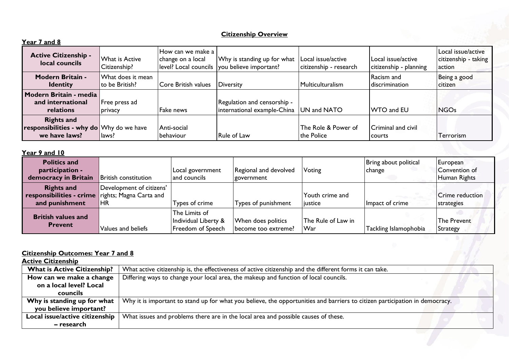## **Citizenship Overview**

| Year 7 and 8                                                                   |                                      |                                         |                                                                             |                                              |                                              |                                                      |
|--------------------------------------------------------------------------------|--------------------------------------|-----------------------------------------|-----------------------------------------------------------------------------|----------------------------------------------|----------------------------------------------|------------------------------------------------------|
| <b>Active Citizenship -</b><br>local councils                                  | What is Active<br>Citizenship?       | IHow can we make a<br>change on a local | Why is standing up for what<br>level? Local councils you believe important? | Local issue/active<br>citizenship - research | Local issue/active<br>citizenship - planning | Local issue/active<br>citizenship - taking<br>action |
| <b>Modern Britain -</b><br><b>Identity</b>                                     | What does it mean<br>lto be British? | Core British values                     | Diversity                                                                   | Multiculturalism                             | Racism and<br>discrimination                 | Being a good<br>citizen                              |
| Modern Britain - media<br>and international<br>relations                       | Free press ad<br>privacy             | Fake news                               | Regulation and censorship -<br>international example-China                  | UN and NATO                                  | <b>WTO and EU</b>                            | <b>NGOs</b>                                          |
| <b>Rights and</b><br>responsibilities - why do Why do we have<br>we have laws? | laws?                                | Anti-social<br>behaviour                | <b>Rule of Law</b>                                                          | The Role & Power of<br>the Police            | Criminal and civil<br>courts                 | Terrorism                                            |

#### **Year 9 and 10**

| <b>Politics and</b><br>participation -<br>democracy in Britain                          | <b>British constitution</b>    | Local government<br>and councils                           | Regional and devolved<br>government       | Voting                     | Bring about political<br>  change | European<br>Convention of<br>Human Rights |
|-----------------------------------------------------------------------------------------|--------------------------------|------------------------------------------------------------|-------------------------------------------|----------------------------|-----------------------------------|-------------------------------------------|
| <b>Rights and</b><br>responsibilities - crime rights; Magna Carta and<br>and punishment | Development of citizens'<br>HR | Types of crime                                             | Types of punishment                       | Youth crime and<br>iustice | Impact of crime                   | Crime reduction<br>strategies             |
| <b>British values and</b><br><b>Prevent</b>                                             | Values and beliefs             | The Limits of<br>Individual Liberty &<br>Freedom of Speech | When does politics<br>become too extreme? | The Rule of Law in<br>War  | Tackling Islamophobia             | The Prevent<br><b>Strategy</b>            |

#### **Citizenship Outcomes: Year 7 and 8**

| <b>Active Citizenship</b>          |                                                                                                                             |
|------------------------------------|-----------------------------------------------------------------------------------------------------------------------------|
| <b>What is Active Citizenship?</b> | What active citizenship is, the effectiveness of active citizenship and the different forms it can take.                    |
| How can we make a change           | Differing ways to change your local area, the makeup and function of local councils.                                        |
| on a local level? Local            |                                                                                                                             |
| <b>councils</b>                    |                                                                                                                             |
| Why is standing up for what        | Why it is important to stand up for what you believe, the opportunities and barriers to citizen participation in democracy. |
| you believe important?             |                                                                                                                             |
| Local issue/active citizenship     | What issues and problems there are in the local area and possible causes of these.                                          |
| – research                         |                                                                                                                             |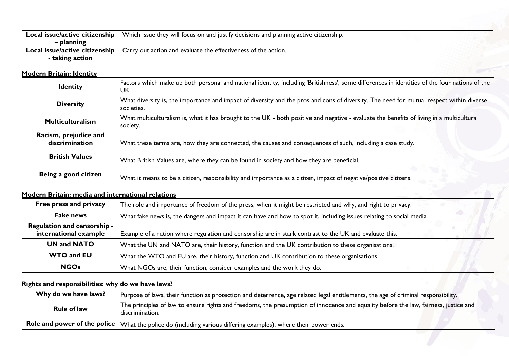| Local issue/active citizenship | Which issue they will focus on and justify decisions and planning active citizenship. |  |
|--------------------------------|---------------------------------------------------------------------------------------|--|
| – planning                     |                                                                                       |  |
| Local issue/active citizenship | Carry out action and evaluate the effectiveness of the action.                        |  |
| - taking action                |                                                                                       |  |

## **Modern Britain: Identity**

| <b>Identity</b>                         | Factors which make up both personal and national identity, including 'Britishness', some differences in identities of the four nations of the<br>UK.   |
|-----------------------------------------|--------------------------------------------------------------------------------------------------------------------------------------------------------|
| <b>Diversity</b>                        | What diversity is, the importance and impact of diversity and the pros and cons of diversity. The need for mutual respect within diverse<br>societies. |
| <b>Multiculturalism</b>                 | What multiculturalism is, what it has brought to the UK - both positive and negative - evaluate the benefits of living in a multicultural<br>society.  |
| Racism, prejudice and<br>discrimination | What these terms are, how they are connected, the causes and consequences of such, including a case study.                                             |
| <b>British Values</b>                   | What British Values are, where they can be found in society and how they are beneficial.                                                               |
| Being a good citizen                    | What it means to be a citizen, responsibility and importance as a citizen, impact of negative/positive citizens.                                       |

## **Modern Britain: media and international relations**

| Free press and privacy<br>The role and importance of freedom of the press, when it might be restricted and why, and right to privacy. |                                                                                                        |  |
|---------------------------------------------------------------------------------------------------------------------------------------|--------------------------------------------------------------------------------------------------------|--|
| Fake news<br>What fake news is, the dangers and impact it can have and how to spot it, including issues relating to social media.     |                                                                                                        |  |
| <b>Regulation and censorship -</b><br>international example                                                                           | Example of a nation where regulation and censorship are in stark contrast to the UK and evaluate this. |  |
| <b>UN and NATO</b>                                                                                                                    | What the UN and NATO are, their history, function and the UK contribution to these organisations.      |  |
| <b>WTO and EU</b>                                                                                                                     | What the WTO and EU are, their history, function and UK contribution to these organisations.           |  |
| <b>NGOs</b>                                                                                                                           | What NGOs are, their function, consider examples and the work they do.                                 |  |

## **Rights and responsibilities: why do we have laws?**

| Why do we have laws? | Purpose of laws, their function as protection and deterrence, age related legal entitlements, the age of criminal responsibility.                         |
|----------------------|-----------------------------------------------------------------------------------------------------------------------------------------------------------|
| <b>Rule of law</b>   | The principles of law to ensure rights and freedoms, the presumption of innocence and equality before the law, fairness, justice and<br>I discrimination. |
|                      | Role and power of the police $ \forall$ hat the police do (including various differing examples), where their power ends.                                 |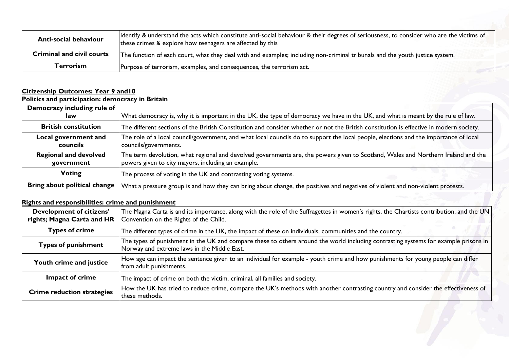| <b>Anti-social behaviour</b>     | identify & understand the acts which constitute anti-social behaviour & their degrees of seriousness, to consider who are the victims of<br>these crimes & explore how teenagers are affected by this |  |  |  |  |
|----------------------------------|-------------------------------------------------------------------------------------------------------------------------------------------------------------------------------------------------------|--|--|--|--|
| <b>Criminal and civil courts</b> | The function of each court, what they deal with and examples; including non-criminal tribunals and the youth justice system.                                                                          |  |  |  |  |
| Terrorism                        | Purpose of terrorism, examples, and consequences, the terrorism act.                                                                                                                                  |  |  |  |  |

#### **Citizenship Outcomes: Year 9 and10 Politics and participation: democracy in Britain**

| Democracy including rule of<br>law         | What democracy is, why it is important in the UK, the type of democracy we have in the UK, and what is meant by the rule of law.                                                        |
|--------------------------------------------|-----------------------------------------------------------------------------------------------------------------------------------------------------------------------------------------|
| <b>British constitution</b>                | The different sections of the British Constitution and consider whether or not the British constitution is effective in modern society.                                                 |
| Local government and<br>councils           | The role of a local council/government, and what local councils do to support the local people, elections and the importance of local<br>councils/governments.                          |
| <b>Regional and devolved</b><br>government | The term devolution, what regional and devolved governments are, the powers given to Scotland, Wales and Northern Ireland and the<br>powers given to city mayors, including an example. |
| Voting                                     | The process of voting in the UK and contrasting voting systems.                                                                                                                         |
| Bring about political change               | What a pressure group is and how they can bring about change, the positives and negatives of violent and non-violent protests.                                                          |

## **Rights and responsibilities: crime and punishment**

| <b>Development of citizens'</b><br>rights; Magna Carta and HR | The Magna Carta is and its importance, along with the role of the Suffragettes in women's rights, the Chartists contribution, and the UN<br>Convention on the Rights of the Child. |
|---------------------------------------------------------------|------------------------------------------------------------------------------------------------------------------------------------------------------------------------------------|
| <b>Types of crime</b>                                         | The different types of crime in the UK, the impact of these on individuals, communities and the country.                                                                           |
| <b>Types of punishment</b>                                    | The types of punishment in the UK and compare these to others around the world including contrasting systems for example prisons in<br>Norway and extreme laws in the Middle East. |
| Youth crime and justice                                       | How age can impact the sentence given to an individual for example - youth crime and how punishments for young people can differ<br>from adult punishments.                        |
| Impact of crime                                               | The impact of crime on both the victim, criminal, all families and society.                                                                                                        |
| <b>Crime reduction strategies</b>                             | How the UK has tried to reduce crime, compare the UK's methods with another contrasting country and consider the effectiveness of<br>these methods.                                |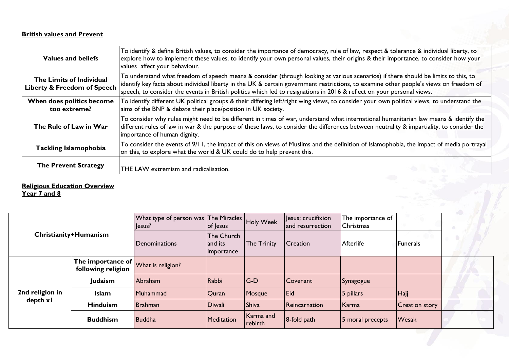## **British values and Prevent**

| Values and beliefs                                                 | To identify & define British values, to consider the importance of democracy, rule of law, respect & tolerance & individual liberty, to<br>explore how to implement these values, to identify your own personal values, their origins & their importance, to consider how your<br>values affect your behaviour.                                                                                        |
|--------------------------------------------------------------------|--------------------------------------------------------------------------------------------------------------------------------------------------------------------------------------------------------------------------------------------------------------------------------------------------------------------------------------------------------------------------------------------------------|
| The Limits of Individual<br><b>Liberty &amp; Freedom of Speech</b> | To understand what freedom of speech means & consider (through looking at various scenarios) if there should be limits to this, to<br>identify key facts about individual liberty in the UK & certain government restrictions, to examine other people's views on freedom of<br>speech, to consider the events in British politics which led to resignations in 2016 & reflect on your personal views. |
| When does politics become<br>too extreme?                          | To identify different UK political groups & their differing left/right wing views, to consider your own political views, to understand the<br>aims of the BNP & debate their place/position in UK society.                                                                                                                                                                                             |
| The Rule of Law in War                                             | To consider why rules might need to be different in times of war, understand what international humanitarian law means & identify the<br>different rules of law in war & the purpose of these laws, to consider the differences between neutrality & impartiality, to consider the<br>importance of human dignity.                                                                                     |
| <b>Tackling Islamophobia</b>                                       | To consider the events of 9/11, the impact of this on views of Muslims and the definition of Islamophobia, the impact of media portrayal<br>on this, to explore what the world & UK could do to help prevent this.                                                                                                                                                                                     |
| <b>The Prevent Strategy</b>                                        | THE LAW extremism and radicalisation.                                                                                                                                                                                                                                                                                                                                                                  |

### **Religious Education Overview**

**Year 7 and 8**

| Christianity+Humanism |                                                                          | What type of person was The Miracles Holy Week<br>Jesus? | of lesus                            |                      | Jesus; crucifixion<br>and resurrection | The importance of<br>Christmas |                       |  |
|-----------------------|--------------------------------------------------------------------------|----------------------------------------------------------|-------------------------------------|----------------------|----------------------------------------|--------------------------------|-----------------------|--|
|                       |                                                                          | <b>I</b> Denominations                                   | The Church<br>and its<br>importance | <b>The Trinity</b>   | <b>Creation</b>                        | Afterlife                      | Funerals              |  |
|                       | $\overline{1}$ The importance of What is religion?<br>following religion |                                                          |                                     |                      |                                        |                                |                       |  |
|                       | Judaism                                                                  | Abraham                                                  | Rabbi                               | $G-D$                | Covenant                               | Synagogue                      |                       |  |
| 2nd religion in       | <b>Islam</b>                                                             | Muhammad                                                 | Quran                               | Mosque               | Eid                                    | 5 pillars                      | Hajj                  |  |
| depth x l             | <b>Hinduism</b>                                                          | <b>Brahman</b>                                           | <b>Diwali</b>                       | Shiva                | Reincarnation                          | Karma                          | <b>Creation story</b> |  |
|                       | <b>Buddhism</b>                                                          | <b>Buddha</b>                                            | Meditation                          | Karma and<br>rebirth | $8$ -fold path                         | 5 moral precepts               | <b>Wesak</b>          |  |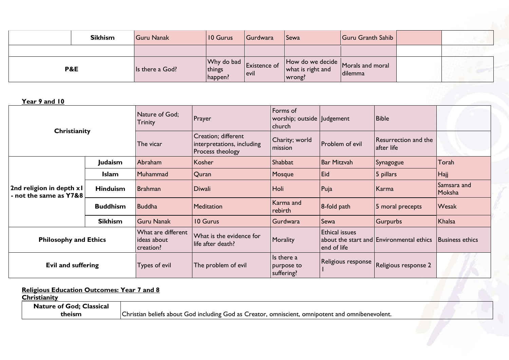| <b>Sikhism</b> | <b>Guru Nanak</b> | 10 Gurus                               | Gurdwara                    | <b>Sewa</b>                 | Guru Granth Sahib                              |  |
|----------------|-------------------|----------------------------------------|-----------------------------|-----------------------------|------------------------------------------------|--|
|                |                   |                                        |                             |                             |                                                |  |
| P&E            | Is there a God?   | $ Why$ do bad $ $<br>things<br>happen? | <b>Existence of</b><br>evil | what is right and<br>wrong? | How do we decide Morals and moral<br>  dilemma |  |

**Year 9 and 10**

| Christianity                                       |                 | Nature of God;<br>Trinity                      | Prayer                                                                        | Forms of<br>worship; outside   Judgement<br>church |                                      | <b>Bible</b>                             |                        |
|----------------------------------------------------|-----------------|------------------------------------------------|-------------------------------------------------------------------------------|----------------------------------------------------|--------------------------------------|------------------------------------------|------------------------|
|                                                    |                 | The vicar                                      | <b>Creation</b> ; different<br>interpretations, including<br>Process theology | Charity; world<br>mission                          | Problem of evil                      | Resurrection and the<br>after life       |                        |
|                                                    | Judaism         | Abraham                                        | Kosher                                                                        | Shabbat                                            | Bar Mitzvah                          | Synagogue                                | Torah                  |
|                                                    | Islam           | Muhammad                                       | Quran                                                                         | Mosque                                             | Eid                                  | 5 pillars                                | H <sub>ajj</sub>       |
| 2nd religion in depth x1<br>- not the same as Y7&8 | <b>Hinduism</b> | <b>Brahman</b>                                 | Diwali                                                                        | Holi                                               | Puja                                 | Karma                                    | Samsara and<br>Moksha  |
|                                                    | <b>Buddhism</b> | <b>Buddha</b>                                  | Meditation                                                                    | Karma and<br>rebirth                               | 8-fold path                          | 5 moral precepts                         | Wesak                  |
|                                                    | <b>Sikhism</b>  | <b>Guru Nanak</b>                              | 10 Gurus                                                                      | Gurdwara                                           | Sewa                                 | <b>Gurpurbs</b>                          | Khalsa                 |
| <b>Philosophy and Ethics</b>                       |                 | What are different<br>ideas about<br>creation? | What is the evidence for<br>life after death?                                 | Morality                                           | <b>Ethical issues</b><br>end of life | about the start and Environmental ethics | <b>Business ethics</b> |
| <b>Evil and suffering</b>                          |                 | Types of evil                                  | The problem of evil                                                           | Is there a<br>purpose to<br>suffering?             | Religious response                   | Religious response 2                     |                        |

## **Religious Education Outcomes: Year 7 and 8**

| Christianity                    |                                                                                                  |  |
|---------------------------------|--------------------------------------------------------------------------------------------------|--|
| <b>Nature of God; Classical</b> |                                                                                                  |  |
| theism                          | Christian beliefs about God including God as Creator, omniscient, omnipotent and omnibenevolent. |  |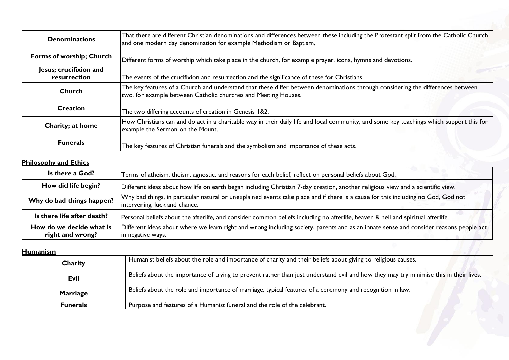| <b>Denominations</b>                   | That there are different Christian denominations and differences between these including the Protestant split from the Catholic Church<br>and one modern day denomination for example Methodism or Baptism. |
|----------------------------------------|-------------------------------------------------------------------------------------------------------------------------------------------------------------------------------------------------------------|
| Forms of worship; Church               | Different forms of worship which take place in the church, for example prayer, icons, hymns and devotions.                                                                                                  |
| Jesus; crucifixion and<br>resurrection | The events of the crucifixion and resurrection and the significance of these for Christians.                                                                                                                |
| Church                                 | The key features of a Church and understand that these differ between denominations through considering the differences between<br>two, for example between Catholic churches and Meeting Houses.           |
| <b>Creation</b>                        | The two differing accounts of creation in Genesis 1&2.                                                                                                                                                      |
| Charity; at home                       | How Christians can and do act in a charitable way in their daily life and local community, and some key teachings which support this for<br>example the Sermon on the Mount.                                |
| <b>Funerals</b>                        | The key features of Christian funerals and the symbolism and importance of these acts.                                                                                                                      |

## **Philosophy and Ethics**

| Is there a God?                              | Terms of atheism, theism, agnostic, and reasons for each belief, reflect on personal beliefs about God.                                                            |
|----------------------------------------------|--------------------------------------------------------------------------------------------------------------------------------------------------------------------|
| How did life begin?                          | Different ideas about how life on earth began including Christian 7-day creation, another religious view and a scientific view.                                    |
| Why do bad things happen?                    | Why bad things, in particular natural or unexplained events take place and if there is a cause for this including no God, God not<br>intervening, luck and chance. |
| Is there life after death?                   | Personal beliefs about the afterlife, and consider common beliefs including no afterlife, heaven & hell and spiritual afterlife.                                   |
| How do we decide what is<br>right and wrong? | Different ideas about where we learn right and wrong including society, parents and as an innate sense and consider reasons people act<br>in negative ways.        |

## **Humanism**

| <b>Humanism</b> |                                                                                                                                       |
|-----------------|---------------------------------------------------------------------------------------------------------------------------------------|
| Charity         | Humanist beliefs about the role and importance of charity and their beliefs about giving to religious causes.                         |
| Evil            | Beliefs about the importance of trying to prevent rather than just understand evil and how they may try minimise this in their lives. |
| <b>Marriage</b> | Beliefs about the role and importance of marriage, typical features of a ceremony and recognition in law.                             |
| <b>Funerals</b> | Purpose and features of a Humanist funeral and the role of the celebrant.                                                             |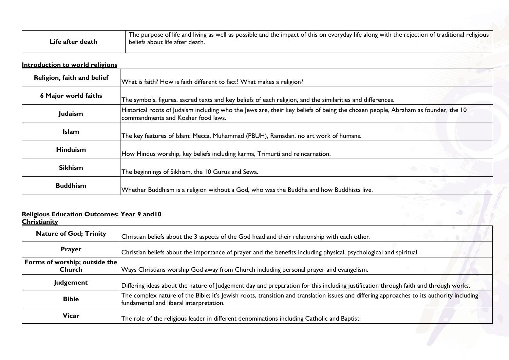|                  | <sup>1</sup> The purpose of life and living as well as possible and the impact of this on everyday life along with the rejection of traditional religious |
|------------------|-----------------------------------------------------------------------------------------------------------------------------------------------------------|
| Life after death | beliefs about life after death.                                                                                                                           |

| <b>Introduction to world religions</b> |                                                                                                                                                                        |
|----------------------------------------|------------------------------------------------------------------------------------------------------------------------------------------------------------------------|
| Religion, faith and belief             | What is faith? How is faith different to fact? What makes a religion?                                                                                                  |
| <b>6 Major world faiths</b>            | The symbols, figures, sacred texts and key beliefs of each religion, and the similarities and differences.                                                             |
| Judaism                                | Historical roots of Judaism including who the Jews are, their key beliefs of being the chosen people, Abraham as founder, the 10<br>commandments and Kosher food laws. |
| <b>Islam</b>                           | The key features of Islam; Mecca, Muhammad (PBUH), Ramadan, no art work of humans.                                                                                     |
| <b>Hinduism</b>                        | How Hindus worship, key beliefs including karma, Trimurti and reincarnation.                                                                                           |
| <b>Sikhism</b>                         | The beginnings of Sikhism, the 10 Gurus and Sewa.                                                                                                                      |
| <b>Buddhism</b>                        | Whether Buddhism is a religion without a God, who was the Buddha and how Buddhists live.                                                                               |

### **Religious Education Outcomes: Year 9 and10**

| <b>Christianity</b>                     |                                                                                                                                                                                      |
|-----------------------------------------|--------------------------------------------------------------------------------------------------------------------------------------------------------------------------------------|
| <b>Nature of God; Trinity</b>           | Christian beliefs about the 3 aspects of the God head and their relationship with each other.                                                                                        |
| <b>Prayer</b>                           | Christian beliefs about the importance of prayer and the benefits including physical, psychological and spiritual.                                                                   |
| Forms of worship; outside the<br>Church | Ways Christians worship God away from Church including personal prayer and evangelism.                                                                                               |
| Judgement                               | Differing ideas about the nature of Judgement day and preparation for this including justification through faith and through works.                                                  |
| <b>Bible</b>                            | The complex nature of the Bible; it's Jewish roots, transition and translation issues and differing approaches to its authority including<br>fundamental and liberal interpretation. |
| <b>Vicar</b>                            | The role of the religious leader in different denominations including Catholic and Baptist.                                                                                          |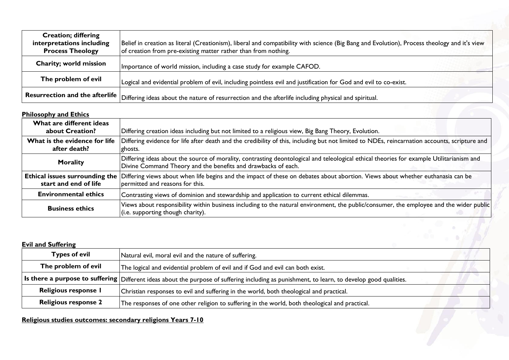| <b>Creation; differing</b><br>interpretations including<br><b>Process Theology</b> | Belief in creation as literal (Creationism), liberal and compatibility with science (Big Bang and Evolution), Process theology and it's view<br>of creation from pre-existing matter rather than from nothing. |
|------------------------------------------------------------------------------------|----------------------------------------------------------------------------------------------------------------------------------------------------------------------------------------------------------------|
| Charity; world mission                                                             | Importance of world mission, including a case study for example CAFOD.                                                                                                                                         |
| The problem of evil                                                                | Logical and evidential problem of evil, including pointless evil and justification for God and evil to co-exist.                                                                                               |
| <b>Resurrection and the afterlife</b>                                              | Differing ideas about the nature of resurrection and the afterlife including physical and spiritual.                                                                                                           |

#### **Philosophy and Ethics**

| $1.11030 \mu 1.7$ and $2.11103$                         |                                                                                                                                                                                                           |
|---------------------------------------------------------|-----------------------------------------------------------------------------------------------------------------------------------------------------------------------------------------------------------|
| What are different ideas<br>about Creation?             | Differing creation ideas including but not limited to a religious view, Big Bang Theory, Evolution.                                                                                                       |
| What is the evidence for life<br>after death?           | Differing evidence for life after death and the credibility of this, including but not limited to NDEs, reincarnation accounts, scripture and<br>ghosts.                                                  |
| <b>Morality</b>                                         | Differing ideas about the source of morality, contrasting deontological and teleological ethical theories for example Utilitarianism and<br>Divine Command Theory and the benefits and drawbacks of each. |
| Ethical issues surrounding the<br>start and end of life | Differing views about when life begins and the impact of these on debates about abortion. Views about whether euthanasia can be<br>permitted and reasons for this.                                        |
| <b>Environmental ethics</b>                             | Contrasting views of dominion and stewardship and application to current ethical dilemmas.                                                                                                                |
| <b>Business ethics</b>                                  | Views about responsibility within business including to the natural environment, the public/consumer, the employee and the wider public<br>(i.e. supporting though charity).                              |

## **Evil and Suffering Types of evil** <br>Natural evil, moral evil and the nature of suffering. **The problem of evil** The logical and evidential problem of evil and if God and evil can both exist. Is there a purpose to suffering Different ideas about the purpose of suffering including as punishment, to learn, to develop good qualities. **Religious response I** Christian responses to evil and suffering in the world, both theological and practical. **Religious response 2** The responses of one other religion to suffering in the world, both theological and practical.

## **Religious studies outcomes: secondary religions Years 7-10**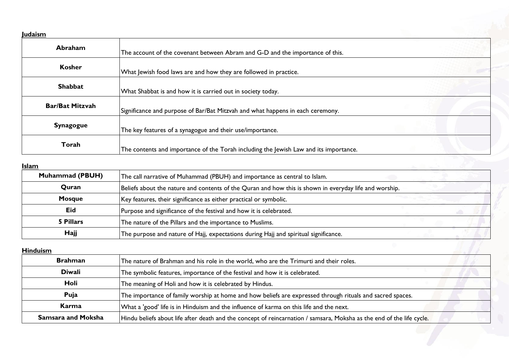#### **Judaism**

| -------                |                                                                                       |
|------------------------|---------------------------------------------------------------------------------------|
| Abraham                | The account of the covenant between Abram and G-D and the importance of this.         |
| <b>Kosher</b>          | What Jewish food laws are and how they are followed in practice.                      |
| <b>Shabbat</b>         | What Shabbat is and how it is carried out in society today.                           |
| <b>Bar/Bat Mitzvah</b> | Significance and purpose of Bar/Bat Mitzvah and what happens in each ceremony.        |
| <b>Synagogue</b>       | The key features of a synagogue and their use/importance.                             |
| Torah                  | The contents and importance of the Torah including the Jewish Law and its importance. |

### **Islam**

| <b>Muhammad (PBUH)</b> | The call narrative of Muhammad (PBUH) and importance as central to Islam.                              |  |
|------------------------|--------------------------------------------------------------------------------------------------------|--|
| Quran                  | Beliefs about the nature and contents of the Quran and how this is shown in everyday life and worship. |  |
| <b>Mosque</b>          | Key features, their significance as either practical or symbolic.                                      |  |
| Eid                    | Purpose and significance of the festival and how it is celebrated.                                     |  |
| 5 Pillars              | The nature of the Pillars and the importance to Muslims.                                               |  |
| Hajj                   | The purpose and nature of Hajj, expectations during Hajj and spiritual significance.                   |  |

## **Hinduism**

| <b>Hinduism</b>           |                                                                                                                       |  |
|---------------------------|-----------------------------------------------------------------------------------------------------------------------|--|
| <b>Brahman</b>            | The nature of Brahman and his role in the world, who are the Trimurti and their roles.                                |  |
| <b>Diwali</b>             | The symbolic features, importance of the festival and how it is celebrated.                                           |  |
| Holi                      | The meaning of Holi and how it is celebrated by Hindus.                                                               |  |
| Puja                      | The importance of family worship at home and how beliefs are expressed through rituals and sacred spaces.             |  |
| Karma                     | What a 'good' life is in Hinduism and the influence of karma on this life and the next.                               |  |
| <b>Samsara and Moksha</b> | Hindu beliefs about life after death and the concept of reincarnation / samsara, Moksha as the end of the life cycle. |  |